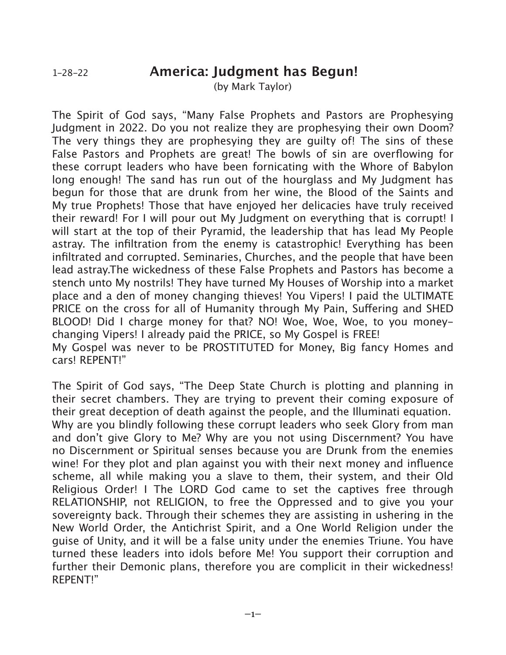(by Mark Taylor)

The Spirit of God says, "Many False Prophets and Pastors are Prophesying Judgment in 2022. Do you not realize they are prophesying their own Doom? The very things they are prophesying they are guilty of! The sins of these False Pastors and Prophets are great! The bowls of sin are overflowing for these corrupt leaders who have been fornicating with the Whore of Babylon long enough! The sand has run out of the hourglass and My Judgment has begun for those that are drunk from her wine, the Blood of the Saints and My true Prophets! Those that have enjoyed her delicacies have truly received their reward! For I will pour out My Judgment on everything that is corrupt! I will start at the top of their Pyramid, the leadership that has lead My People astray. The infiltration from the enemy is catastrophic! Everything has been infiltrated and corrupted. Seminaries, Churches, and the people that have been lead astray.The wickedness of these False Prophets and Pastors has become a stench unto My nostrils! They have turned My Houses of Worship into a market place and a den of money changing thieves! You Vipers! I paid the ULTIMATE PRICE on the cross for all of Humanity through My Pain, Suffering and SHED BLOOD! Did I charge money for that? NO! Woe, Woe, Woe, to you moneychanging Vipers! I already paid the PRICE, so My Gospel is FREE! My Gospel was never to be PROSTITUTED for Money, Big fancy Homes and cars! REPENT!"

The Spirit of God says, "The Deep State Church is plotting and planning in their secret chambers. They are trying to prevent their coming exposure of their great deception of death against the people, and the Illuminati equation. Why are you blindly following these corrupt leaders who seek Glory from man and don't give Glory to Me? Why are you not using Discernment? You have no Discernment or Spiritual senses because you are Drunk from the enemies wine! For they plot and plan against you with their next money and influence scheme, all while making you a slave to them, their system, and their Old Religious Order! I The LORD God came to set the captives free through RELATIONSHIP, not RELIGION, to free the Oppressed and to give you your sovereignty back. Through their schemes they are assisting in ushering in the New World Order, the Antichrist Spirit, and a One World Religion under the guise of Unity, and it will be a false unity under the enemies Triune. You have turned these leaders into idols before Me! You support their corruption and further their Demonic plans, therefore you are complicit in their wickedness! REPENT!"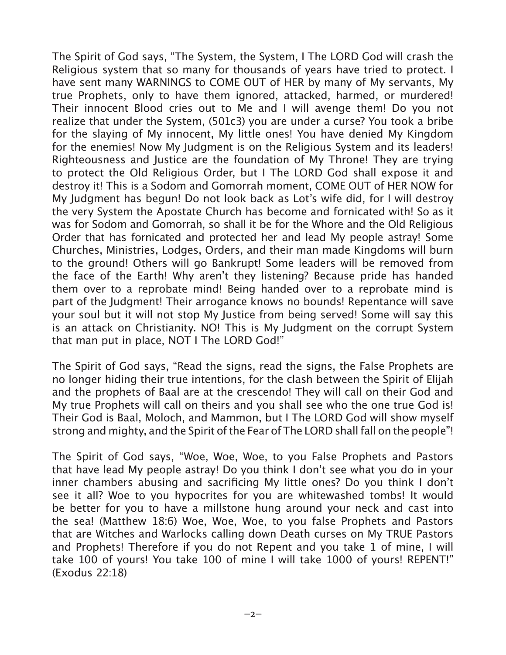The Spirit of God says, "The System, the System, I The LORD God will crash the Religious system that so many for thousands of years have tried to protect. I have sent many WARNINGS to COME OUT of HER by many of My servants, My true Prophets, only to have them ignored, attacked, harmed, or murdered! Their innocent Blood cries out to Me and I will avenge them! Do you not realize that under the System, (501c3) you are under a curse? You took a bribe for the slaying of My innocent, My little ones! You have denied My Kingdom for the enemies! Now My Judgment is on the Religious System and its leaders! Righteousness and Justice are the foundation of My Throne! They are trying to protect the Old Religious Order, but I The LORD God shall expose it and destroy it! This is a Sodom and Gomorrah moment, COME OUT of HER NOW for My Judgment has begun! Do not look back as Lot's wife did, for I will destroy the very System the Apostate Church has become and fornicated with! So as it was for Sodom and Gomorrah, so shall it be for the Whore and the Old Religious Order that has fornicated and protected her and lead My people astray! Some Churches, Ministries, Lodges, Orders, and their man made Kingdoms will burn to the ground! Others will go Bankrupt! Some leaders will be removed from the face of the Earth! Why aren't they listening? Because pride has handed them over to a reprobate mind! Being handed over to a reprobate mind is part of the Judgment! Their arrogance knows no bounds! Repentance will save your soul but it will not stop My Justice from being served! Some will say this is an attack on Christianity. NO! This is My Judgment on the corrupt System that man put in place, NOT I The LORD God!"

The Spirit of God says, "Read the signs, read the signs, the False Prophets are no longer hiding their true intentions, for the clash between the Spirit of Elijah and the prophets of Baal are at the crescendo! They will call on their God and My true Prophets will call on theirs and you shall see who the one true God is! Their God is Baal, Moloch, and Mammon, but I The LORD God will show myself strong and mighty, and the Spirit of the Fear of The LORD shall fall on the people"!

The Spirit of God says, "Woe, Woe, Woe, to you False Prophets and Pastors that have lead My people astray! Do you think I don't see what you do in your inner chambers abusing and sacrificing My little ones? Do you think I don't see it all? Woe to you hypocrites for you are whitewashed tombs! It would be better for you to have a millstone hung around your neck and cast into the sea! (Matthew 18:6) Woe, Woe, Woe, to you false Prophets and Pastors that are Witches and Warlocks calling down Death curses on My TRUE Pastors and Prophets! Therefore if you do not Repent and you take 1 of mine, I will take 100 of yours! You take 100 of mine I will take 1000 of yours! REPENT!" (Exodus 22:18)